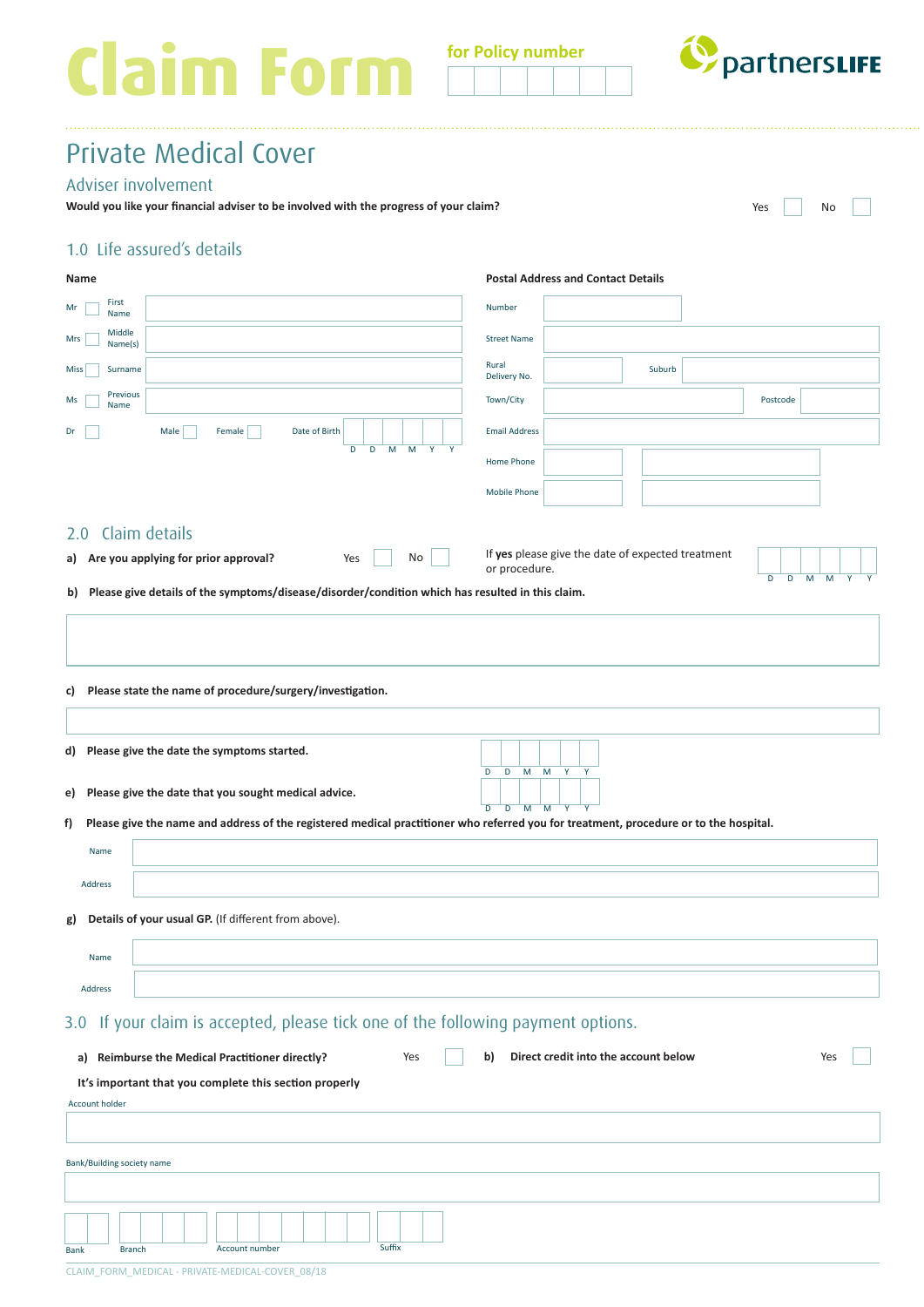# **Claim Form for Policy number**



# Private Medical Cover

## Adviser involvement

**Would you like your financial adviser to be involved with the progress of your claim?** No No No No No No No No

## 1.0 Life assured's details

| Name                                                                                                                                        | <b>Postal Address and Contact Details</b>                                                       |
|---------------------------------------------------------------------------------------------------------------------------------------------|-------------------------------------------------------------------------------------------------|
| First<br>Mr<br>Name                                                                                                                         | Number                                                                                          |
| Middle<br>Mrs<br>Name(s)                                                                                                                    | <b>Street Name</b>                                                                              |
| Surname<br>Miss                                                                                                                             | Rural<br>Suburb<br>Delivery No.                                                                 |
| Previous<br>Ms<br>Name                                                                                                                      | Town/City<br>Postcode                                                                           |
| Male<br>Female<br>Date of Birth<br>Dr                                                                                                       | <b>Email Address</b>                                                                            |
| D<br>D<br>M<br>M<br>Y<br>Y                                                                                                                  | Home Phone                                                                                      |
|                                                                                                                                             | <b>Mobile Phone</b>                                                                             |
| Claim details<br>2.0                                                                                                                        |                                                                                                 |
| a) Are you applying for prior approval?<br>Yes<br>No                                                                                        | If yes please give the date of expected treatment<br>or procedure.                              |
| Please give details of the symptoms/disease/disorder/condition which has resulted in this claim.<br>b)                                      | D<br>M<br>D<br>M<br>Υ                                                                           |
|                                                                                                                                             |                                                                                                 |
|                                                                                                                                             |                                                                                                 |
| c) Please state the name of procedure/surgery/investigation.                                                                                |                                                                                                 |
|                                                                                                                                             |                                                                                                 |
| d) Please give the date the symptoms started.                                                                                               |                                                                                                 |
|                                                                                                                                             | D<br>D<br>M<br>M<br>Y                                                                           |
| Please give the date that you sought medical advice.<br>e)                                                                                  | $\overline{D}$<br>$\overline{M}$<br>$\overline{M}$<br>$\overline{D}$<br>$\overline{\mathbf{Y}}$ |
| Please give the name and address of the registered medical practitioner who referred you for treatment, procedure or to the hospital.<br>f) |                                                                                                 |
| Name                                                                                                                                        |                                                                                                 |
| Address                                                                                                                                     |                                                                                                 |
| Details of your usual GP. (If different from above).<br>g)                                                                                  |                                                                                                 |
| Name                                                                                                                                        |                                                                                                 |
| Address                                                                                                                                     |                                                                                                 |
| 3.0 If your claim is accepted, please tick one of the following payment options.                                                            |                                                                                                 |
|                                                                                                                                             |                                                                                                 |
| a) Reimburse the Medical Practitioner directly?<br>Yes                                                                                      | Direct credit into the account below<br>b)<br>Yes                                               |
| It's important that you complete this section properly<br><b>Account holder</b>                                                             |                                                                                                 |
|                                                                                                                                             |                                                                                                 |
| Bank/Building society name                                                                                                                  |                                                                                                 |
|                                                                                                                                             |                                                                                                 |
|                                                                                                                                             |                                                                                                 |
| Suffix<br>Account number<br><b>Branch</b><br><b>Bank</b>                                                                                    |                                                                                                 |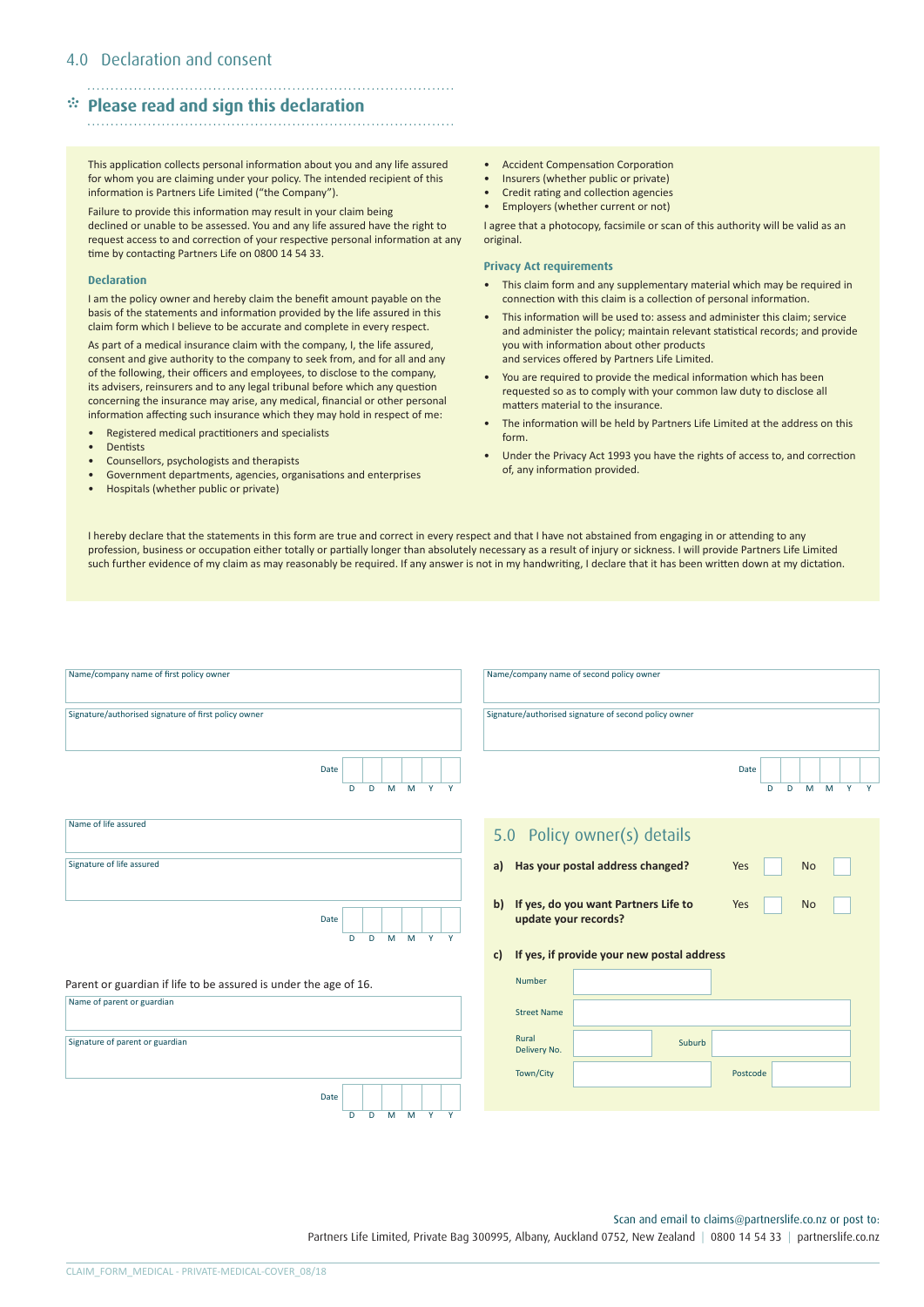# \* **Please read and sign this declaration**

#### . . . . . . . . . . . . . . . . .

This application collects personal information about you and any life assured for whom you are claiming under your policy. The intended recipient of this information is Partners Life Limited ("the Company").

Failure to provide this information may result in your claim being declined or unable to be assessed. You and any life assured have the right to request access to and correction of your respective personal information at any time by contacting Partners Life on 0800 14 54 33.

#### **Declaration**

I am the policy owner and hereby claim the benefit amount payable on the basis of the statements and information provided by the life assured in this claim form which I believe to be accurate and complete in every respect.

As part of a medical insurance claim with the company, I, the life assured, consent and give authority to the company to seek from, and for all and any of the following, their officers and employees, to disclose to the company, its advisers, reinsurers and to any legal tribunal before which any question concerning the insurance may arise, any medical, financial or other personal information affecting such insurance which they may hold in respect of me:

- Registered medical practitioners and specialists
- **Dentists**
- Counsellors, psychologists and therapists
- Government departments, agencies, organisations and enterprises
- Hospitals (whether public or private)
- Accident Compensation Corporation
- Insurers (whether public or private)
- Credit rating and collection agencies
- Employers (whether current or not)

I agree that a photocopy, facsimile or scan of this authority will be valid as an original.

#### **Privacy Act requirements**

- This claim form and any supplementary material which may be required in connection with this claim is a collection of personal information.
- This information will be used to: assess and administer this claim; service and administer the policy; maintain relevant statistical records; and provide you with information about other products and services offered by Partners Life Limited.
- You are required to provide the medical information which has been requested so as to comply with your common law duty to disclose all matters material to the insurance.
- The information will be held by Partners Life Limited at the address on this form.
- Under the Privacy Act 1993 you have the rights of access to, and correction of, any information provided.

I hereby declare that the statements in this form are true and correct in every respect and that I have not abstained from engaging in or attending to any profession, business or occupation either totally or partially longer than absolutely necessary as a result of injury or sickness. I will provide Partners Life Limited such further evidence of my claim as may reasonably be required. If any answer is not in my handwriting, I declare that it has been written down at my dictation.

| Name/company name of first policy owner                          |   |   |  |       |                 |   | Name/company name of second policy owner |                       |                                                                 |        |          |   |   |           |                 |  |
|------------------------------------------------------------------|---|---|--|-------|-----------------|---|------------------------------------------|-----------------------|-----------------------------------------------------------------|--------|----------|---|---|-----------|-----------------|--|
| Signature/authorised signature of first policy owner             |   |   |  |       |                 |   |                                          |                       | Signature/authorised signature of second policy owner           |        |          |   |   |           |                 |  |
| Date                                                             | D | D |  |       | $M$ $M$ $Y$ $Y$ |   |                                          |                       |                                                                 |        | Date     | D | D |           | $M$ $M$ $Y$ $Y$ |  |
| Name of life assured                                             |   |   |  |       |                 |   |                                          |                       | 5.0 Policy owner(s) details                                     |        |          |   |   |           |                 |  |
| Signature of life assured                                        |   |   |  |       |                 |   | a)                                       |                       | Has your postal address changed?                                |        | Yes      |   |   | <b>No</b> |                 |  |
| Date                                                             | D | D |  |       | M M Y           | Y |                                          |                       | b) If yes, do you want Partners Life to<br>update your records? |        | Yes      |   |   | <b>No</b> |                 |  |
|                                                                  |   |   |  |       |                 |   | c)                                       |                       | If yes, if provide your new postal address                      |        |          |   |   |           |                 |  |
| Parent or guardian if life to be assured is under the age of 16. |   |   |  |       |                 |   |                                          | Number                |                                                                 |        |          |   |   |           |                 |  |
| Name of parent or guardian                                       |   |   |  |       |                 |   |                                          | <b>Street Name</b>    |                                                                 |        |          |   |   |           |                 |  |
| Signature of parent or guardian                                  |   |   |  |       |                 |   |                                          | Rural<br>Delivery No. |                                                                 | Suburb |          |   |   |           |                 |  |
|                                                                  |   |   |  |       |                 |   |                                          | Town/City             |                                                                 |        | Postcode |   |   |           |                 |  |
| Date                                                             |   |   |  |       |                 |   |                                          |                       |                                                                 |        |          |   |   |           |                 |  |
|                                                                  | D | D |  | M M Y |                 | Y |                                          |                       |                                                                 |        |          |   |   |           |                 |  |